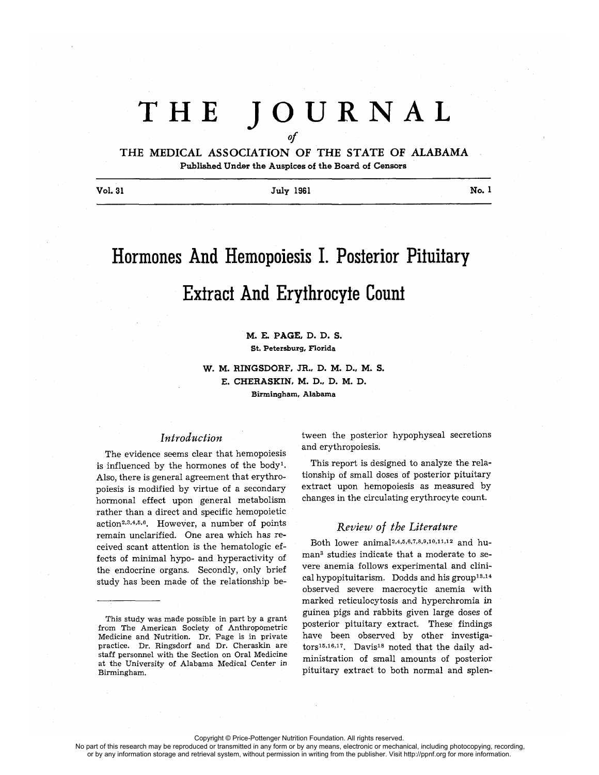# THE **JOURNA <sup>L</sup>** *Of*

THE MEDICAL ASSOCIATION OF THE STATE OF ALABAMA **Published Under the Auspices of the Board of Censors**

Vol. 31 **Vol. 31** July 1961 **No. 1** 

# Hormones And Hemopoiesis I. Posterior Pituitary Extract And Erythrocyte Count

### M. E. PAGE, D. D. S. St. Petersburg, Florida

W. M. RINGSDORF, JR., D. M. D., M. S. E. CHERASKIN, M. D., D. M. D. **Birmingham, Alabama**

## *Introduction*

The evidence seems clear that hemopoiesis is influenced by the hormones of the body'. Also, there is general agreement that erythropoiesis is modified by virtue of a secondary hormonal effect upon general metabolism rather than a direct and specific hemopoietic action2,3,4,5,6 . However, a number of points remain unclarified. One area which has received scant attention is the hematologic effects of minimal hypo- and hyperactivity of the endocrine organs. Secondly, only brief study has been made of the relationship be-

This study was made possible in part by a grant from The American Society of Anthropometric Medicine and Nutrition. Dr. Page is in private practice. Dr. Ringsdorf and Dr. Cheraskin are staff personnel with the Section on Oral Medicine at the University of Alabama Medical Center in Birmingham.

tween the **posterior** hypophyseal **secretions** and erythropoiesis.

This report is designed to analyze the relationship of small doses of posterior pituitary extract upon hemopoiesis as measured by changes in the circulating erythrocyte count.

## *Review of the Literature*

Both lower anima12,4,5,6,7,8,9,10,11,12 and human3 studies indicate that a moderate to severe anemia follows experimental and clinical hypopituitarism. Dodds and his group<sup>13,14</sup> observed severe macrocytic anemia with marked reticulocytosis and hyperchromia in guinea pigs and rabbits given large doses of posterior pituitary extract. These findings have been observed by other investigators<sup>15,16,17</sup>. Davis<sup>18</sup> noted that the daily administration of small amounts of posterior pituitary extract to both normal and splen-

Copyright © Price-Pottenger Nutrition Foundation. All rights reserved.

No part of this research may be reproduced or transmitted in any form or by any means, electronic or mechanical, including photocopying, recording, or by any information storage and retrieval system, without permission in writing from the publisher. Visit http://ppnf.org for more information.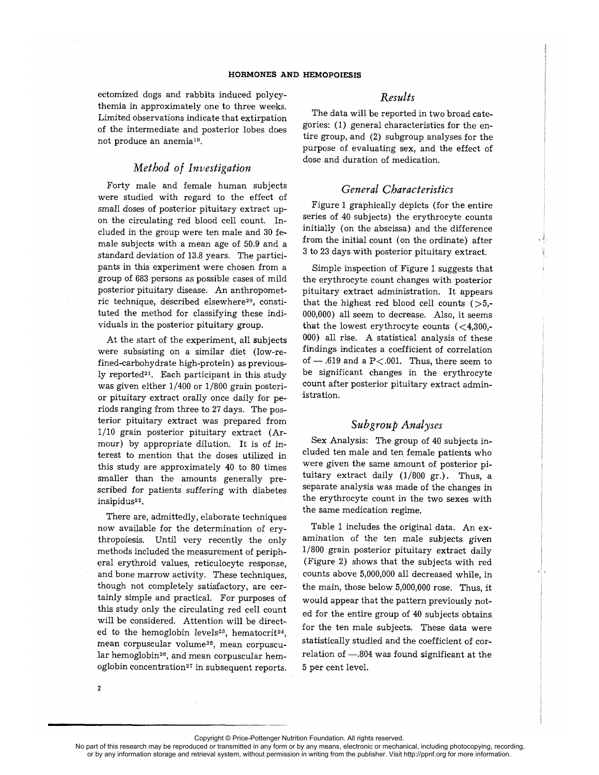ectomized dogs and rabbits induced polycythemia in approximately one to three weeks. Limited observations indicate that extirpation of the intermediate and posterior lobes does not produce an anemia19.

## *Method of Investigation*

Forty male and female human subjects were studied with regard to the effect of small doses of posterior pituitary extract upon the circulating red blood cell count. Included in the group were ten male and 30 female subjects with a mean age of 50.9 and a standard deviation of 13 .8 years. The participants in this experiment were chosen from a group of 683 persons as possible cases of mild posterior pituitary disease. An anthropometric technique, described elsewhere<sup>20</sup>, constituted the method for classifying these individuals in the posterior pituitary group.

At the start of the experiment, all subjects were subsisting on a similar diet (low-refined-carbohydrate high-protein) as previously reported<sup>21</sup>. Each participant in this study was given either 1/400 or 1/800 grain posterior pituitary extract orally once daily for periods ranging from three to 27 days. The posterior pituitary extract was prepared from 1/10 grain posterior pituitary extract (Armour) by appropriate dilution. It is of interest to mention that the doses utilized in this study are approximately 40 to 80 times smaller than the amounts generally prescribed for patients suffering with diabetes insipidus<sup>22</sup>.

There are, admittedly, elaborate techniques now available for the determination of erythropoiesis. Until very recently the only methods included the measurement of peripheral erythroid values, reticulocyte response, and bone marrow activity. These techniques, though not completely satisfactory, are certainly simple and practical. For purposes of this study only the circulating red cell count will be considered. Attention will be directed to the hemoglobin levels<sup>23</sup>, hematocrit<sup>24</sup>, mean corpuscular volume25, mean corpuscular hemoglobin<sup>26</sup>, and mean corpuscular hemoglobin concentration<sup>27</sup> in subsequent reports.

## *Results*

The data will be reported in two broad categories: (1) general characteristics for the entire group, and (2) subgroup analyses for the purpose of evaluating sex, and the effect of dose and duration of medication.

## *General Characteristics*

Figure 1 graphically depicts (for the entire series of 40 subjects) the erythrocyte counts initially (on the abscissa) and the difference from the initial count (on the ordinate) after 3 to 23 days with posterior pituitary extract.

Simple inspection of Figure 1 suggests that the erythrocyte count changes with posterior pituitary extract administration. It appears that the highest red blood cell counts  $(>5,$ -000,000) all seem to decrease. Also, it seems that the lowest erythrocyte counts  $( $4,300,$ -$ 000) all rise. A statistical analysis of these findings indicates a coefficient of correlation of  $-$  .619 and a P < .001. Thus, there seem to be significant changes in the erythrocyte count after posterior pituitary extract administration.

## **Subgroup Analyses**

Sex Analysis: The group of 40 subjects included ten male and ten female patients who were given the same amount of posterior pituitary extract daily  $(1/800 \text{ gr.})$ . Thus, a separate analysis was made of the changes in the erythrocyte count in the two sexes with the same medication regime.

Table 1 includes the original data. An examination of the ten male subjects given 1/800 grain posterior pituitary extract daily (Figure 2) shows that the subjects with red counts above 5,000,000 all decreased while, in the main, those below 5,000,000 rose. Thus, it would appear that the pattern previously noted for the entire group of 40 subjects obtains for the ten male subjects. These data were statistically studied and the coefficient of correlation of  $-.804$  was found significant at the 5 per cent level.

2

No part of this research may be reproduced or transmitted in any form or by any means, electronic or mechanical, including photocopying, recording, or by any information storage and retrieval system, without permission in writing from the publisher. Visit http://ppnf.org for more information.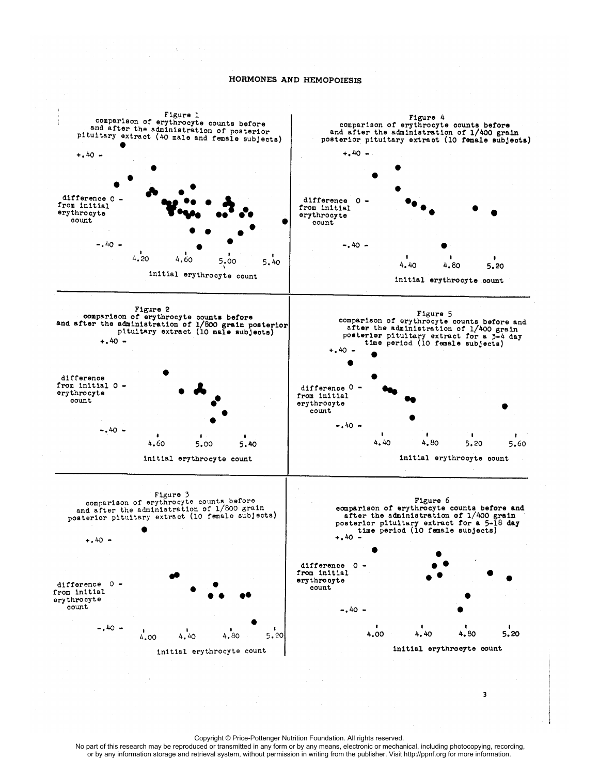

Copyright © Price-Pottenger Nutrition Foundation. All rights reserved.

 No part of this research may be reproduced or transmitted in any form or by any means, electronic or mechanical, including photocopying, recording, or by any information storage and retrieval system, without permission in writing from the publisher. Visit http://ppnf.org for more information.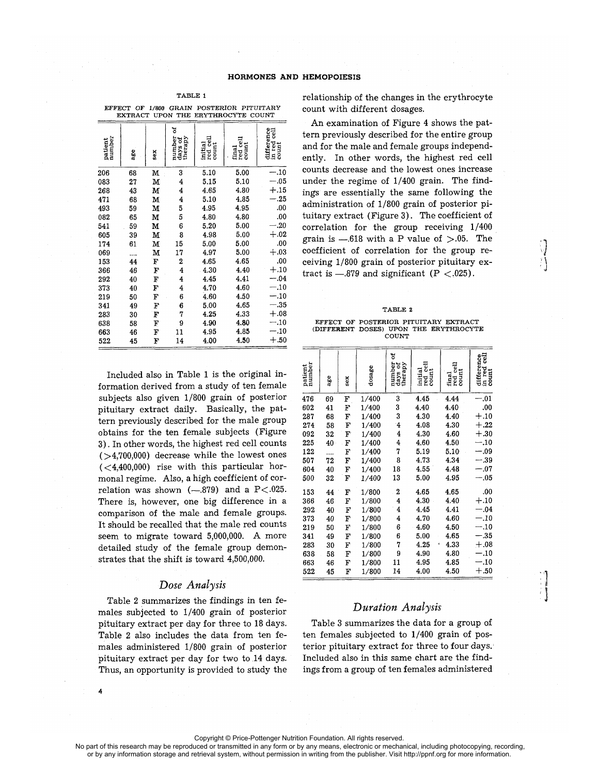| EFFECT OF<br>17800<br>GRAIN<br><b>PUSTERIUK</b><br><i>PITULLARI</i><br>EXTRACT UPON THE<br>ERYTHROCYTE COUNT |     |     |                                   |                                                                                  |                                                                                 |                                    |  |
|--------------------------------------------------------------------------------------------------------------|-----|-----|-----------------------------------|----------------------------------------------------------------------------------|---------------------------------------------------------------------------------|------------------------------------|--|
| patient<br>number                                                                                            | age | sex | 뉭<br>number<br>days of<br>therapy | $\begin{array}{c} \text{initial} \\ \text{red cell} \\ \text{count} \end{array}$ | $\begin{array}{ll} \hbox{final} \\ \hbox{red cell} \\ \hbox{count} \end{array}$ | difference<br>in red cell<br>count |  |
| 206                                                                                                          | 68  | М   | 3                                 | 5.10                                                                             | 5.00                                                                            | $-.10$                             |  |
| 083                                                                                                          | 27  | м   | 4                                 | 5.15                                                                             | 5.10                                                                            | $-.05$                             |  |
| 268                                                                                                          | 43  | М   | 4                                 | 4.65                                                                             | 4.80                                                                            | $+.15$                             |  |
| 471                                                                                                          | 68  | М   | 4                                 | 5.10                                                                             | 4.85                                                                            | $-.25$                             |  |
| 493                                                                                                          | 59  | М   | 5                                 | 4.95                                                                             | 4.95                                                                            | .00.                               |  |
| 082                                                                                                          | 65  | м   | 5                                 | 4.80                                                                             | 4.80                                                                            | .00                                |  |
| 541                                                                                                          | 59  | м   | 6                                 | 5.20                                                                             | 5.00                                                                            | $-.20$                             |  |
| 605                                                                                                          | 39  | м   | 8                                 | 4.98                                                                             | 5.00                                                                            | $+.02$                             |  |
| 174                                                                                                          | 61  | М   | 15                                | 5.00                                                                             | 5.00                                                                            | .00                                |  |
| 069                                                                                                          |     | M   | 17                                | 4.97                                                                             | 5.00                                                                            | $+.03$                             |  |
| 153                                                                                                          | 44  | F   | 2                                 | 4.65                                                                             | 4.65                                                                            | .00                                |  |
| 366                                                                                                          | 46  | F   | $\overline{\mathbf{4}}$           | 4.30                                                                             | 4.40                                                                            | $+.10$                             |  |
| 292                                                                                                          | 40  | F   | 4                                 | 4.45                                                                             | 4.41                                                                            | $-.04$                             |  |
| 373                                                                                                          | 40  | F   | 4                                 | 4.70                                                                             | 4.60                                                                            | $-.10$                             |  |
| 219                                                                                                          | 50  | F   | 6                                 | 4.60                                                                             | 4.50                                                                            | $-.10$                             |  |
| 341                                                                                                          | 49  | F   | 6                                 | 5.00                                                                             | 4.65                                                                            | $-.35$                             |  |
| 283                                                                                                          | 30  | F   | 7                                 | 4.25                                                                             | 4.33                                                                            | $+.08$                             |  |
| 638                                                                                                          | 58  | F   | 9                                 | 4.90                                                                             | 4.80                                                                            | $-.10$                             |  |
| 663                                                                                                          | 46  | F   | 11                                | 4.95                                                                             | 4.85                                                                            | $-.10$                             |  |
| 522                                                                                                          | 45  | F   | 14                                | 4.00                                                                             | 4.50                                                                            | $+.50$                             |  |

TABLE i

EFFECT **OF 1/800** GRAIN POSTERIOR PITUITARY

Included also in Table 1 is the original information derived from a study of ten female subjects also given 1/800 grain of posterior pituitary extract daily. Basically, the pattern previously described for the male group obtains for the ten female subjects (Figure 3) . In other words, the highest red cell counts  $($ >4,700,000) decrease while the lowest ones  $( $(1.400,000)$ )$  rise with this particular hormonal regime. Also, a high coefficient of correlation was shown  $(-.879)$  and a  $P<.025$ . There is, however, one big difference in a comparison of the male and female groups. It should be recalled that the male red counts seem to migrate toward 5,000,000. A more detailed study of the female group demonstrates that the shift is toward 4,500,000.

## *Dose Analysis*

Table 2 summarizes the findings in ten females subjected to 1/400 grain of posterior pituitary extract per day for three to 18 days. Table 2 also includes the data from ten females administered 1/800 grain of posterior pituitary extract per day for two to 14 days. Thus, an opportunity is provided to study the

4

relationship of the changes in the erythrocyte count with different dosages.

An examination of Figure 4 shows the pattern previously described for the entire group and for the male and female groups independently. In other words, the highest red cell counts decrease and the lowest ones increase under the regime of 1/400 grain. The findings are essentially the same following the administration of 1/800 grain of posterior pituitary extract (Figure 3) . The coefficient of correlation for the group receiving 1/400 grain is  $-.618$  with a P value of  $>.05$ . The coefficient of correlation for the group receiving 1/800 grain of posterior pituitary extract is  $-.879$  and significant (P  $\lt$ .025).

#### TABLE 2

EFFECT OF POSTERIOR PITUITARY EXTRACT (DIFFERENT DOSES) UPON THE ERYTHROCYTE COUNT

| patient<br>number | age | sex          | dosage | ă<br>number<br>days of<br>therapy | initial<br>red cell<br>count | $_{\rm{rel}}$<br>$\frac{\text{final}}{\text{real}}$ | difference<br>in red cell<br>in red<br>count |
|-------------------|-----|--------------|--------|-----------------------------------|------------------------------|-----------------------------------------------------|----------------------------------------------|
| 476               | 69  | F            | 1/400  | 3                                 | 4.45                         | 4.44                                                | $-.01$                                       |
| 602               | 41  | F            | 1/400  | 3                                 | 4.40                         | 4.40                                                | .00                                          |
| 287               | 68  | F            | 1/400  | 3                                 | 4.30                         | 4.40                                                | $+.10$                                       |
| 274               | 58  | $\mathbf{F}$ | 1/400  | 4                                 | 4.08                         | 4.30                                                | $+.22$                                       |
| 092               | 32  | F            | 1/400  | $\overline{4}$                    | 4.30                         | 4.60                                                | $+.30$                                       |
| 225               | 40  | F            | 1/400  | 4                                 | 4.60                         | 4.50                                                | $-.10$                                       |
| 122               |     | F            | 1/400  | 7                                 | 5.19                         | 5.10                                                | $-.09$                                       |
| 507               | 72  | F            | 1/400  | 8                                 | 4.73                         | 4.34                                                | $-.39$                                       |
| 604               | 40  | F            | 1/400  | 18                                | 4.55                         | 4.48                                                | $-.07$                                       |
| 500               | 32  | F            | 1/400  | 13                                | 5.00                         | 4.95                                                | $-.05$                                       |
| 153               | 44  | F            | 1/800  | 2                                 | 4.65                         | 4.65                                                | .00                                          |
| 366               | 46  | F            | 1/800  | 4                                 | 4.30                         | 4.40                                                | $+.10$                                       |
| 292               | 40  | F            | 1/800  | 4                                 | 4.45                         | 4.41                                                | $-.04$                                       |
| 373               | 40  | F            | 1/800  | 4                                 | 4.70                         | 4.60                                                | $-.10$                                       |
| 219               | 50  | F            | 1/800  | 6                                 | 4.60                         | 4.50                                                | $-.10$                                       |
| 341               | 49  | F            | 1/800  | 6                                 | 5.00                         | 4.65                                                | $-.35$                                       |
| 283               | 30  | F            | 1/800  | 7                                 | 4.25<br>×                    | 4.33                                                | $+.08$                                       |
| 638               | 58  | F            | 1/800  | 9                                 | 4.90                         | 4.80                                                | $-.10$                                       |
| 663               | 46  | F            | 1/800  | 11                                | 4.95                         | 4.85                                                | $-.10$                                       |
| 522               | 45  | F            | 1/800  | 14                                | 4.00                         | 4.50                                                | $+.50$                                       |

## *Duration Analysis*

Table 3 summarizes the data for a group of ten females subjected to 1/400 grain of posterior pituitary extract for three to four days. Included also in this same chart are the findings from a group of ten females administered

No part of this research may be reproduced or transmitted in any form or by any means, electronic or mechanical, including photocopying, recording, or by any information storage and retrieval system, without permission in writing from the publisher. Visit http://ppnf.org for more information.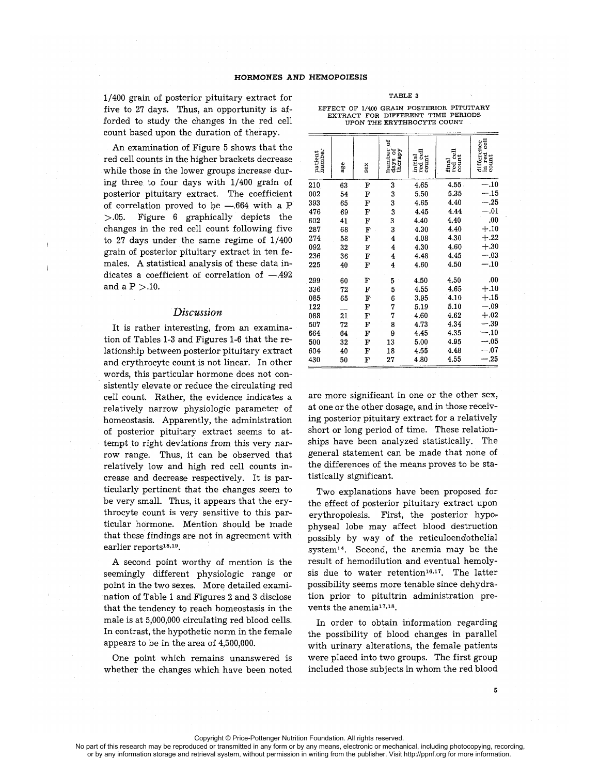1/400 grain of posterior pituitary extract for five to 27 days. Thus, an opportunity is afforded to study the changes in the red cell count based upon the duration of therapy.

An examination of Figure 5 shows that the red cell counts in the higher brackets decrease while those in the lower groups increase during three to four days with 1/400 grain of posterior pituitary extract. The coefficient of correlation proved to be  $-.664$  with a P  $> 0.05$ . Figure 6 graphically depicts the changes in the red cell count following five to 27 days under the same regime of 1/400 grain of posterior pituitary extract in ten females. A statistical analysis of these data indicates a coefficient of correlation of  $-.492$ and a  $P > 10$ .

#### *Discussion*

It is rather interesting, from an examination of Tables 1-3 and Figures 1-6 that the relationship between posterior pituitary extract and erythrocyte count is not linear. In other words, this particular hormone does not consistently elevate or reduce the circulating red cell count. Rather, the evidence indicates a relatively narrow physiologic parameter of homeostasis. Apparently, the administration of posterior pituitary extract seems to attempt to right deviations from this very narrow range. Thus, it can be observed that relatively low and high red cell counts increase and decrease respectively. It is particularly pertinent that the changes seem to be very small. Thus, it appears that the erythrocyte count is very sensitive to this particular hormone. Mention should be made that these findings are not in agreement with earlier reports<sup>18,19</sup>.

A second point worthy of mention is the seemingly different physiologic range or point in the two sexes. More detailed examination of Table 1 and Figures 2 and 3 disclose that the tendency to reach homeostasis in the male is at 5,000,000 circulating red blood cells. In contrast, the hypothetic norm in the female appears to be in the area of 4,500,000 .

One point which remains unanswered is whether the changes which have been noted

| patient<br>numbe. | age | sex | đ<br>number<br>days of<br>therapy | red cell<br>count<br>initial | $_{\rm cont}^{\rm red}$ cell<br>$\frac{1}{2}$ | difference<br>in red cell<br>count |
|-------------------|-----|-----|-----------------------------------|------------------------------|-----------------------------------------------|------------------------------------|
| 210               | 63  | F   | 3                                 | 4.65                         | 4.55.                                         | $-.10$                             |
| 002               | 54  | F   | 3                                 | 5.50                         | 5.35                                          | $-.15$                             |
| 393               | 65  | F   | 3                                 | 4.65                         | 4.40                                          | $-.25$                             |
| 476               | 69  | F   | 3                                 | 4.45                         | 4.44                                          | $-.01$                             |
| 602               | 41  | Ŀ   | 3                                 | 4.40                         | 4.40                                          | .00                                |
| 287               | 68  | F   | 3                                 | 4.30                         | 4.40                                          | $+.10$                             |
| 274               | 58  | F   | 4                                 | 4.08                         | 4.30                                          | $+.22$                             |
| 092               | 32  | F   | 4                                 | 4.30                         | 4.60                                          | $+.30$                             |
| 236               | 36  | F   | 4                                 | 4.48                         | 4.45                                          | $-.03$                             |
| 225               | 40  | F   | 4                                 | 4.60                         | 4.50                                          | $-.10$                             |
| 299               | 60  | F   | 5                                 | 4.50                         | 4.50                                          | .00                                |
| 336               | 72  | F   | 5                                 | 4.55                         | 4.65                                          | $+.10$                             |
| 085               | 65  | F   | 6                                 | 3.95                         | 4.10                                          | $+.15$                             |
| 122               |     | F   | 7                                 | 5.19                         | 5.10                                          | $-.09$                             |
| 088               | 21  | F   | 7                                 | 4.60                         | 4.62                                          | $+.02$                             |
| 507               | 72  | F   | 8                                 | 4.73                         | 4.34                                          | $-.39$                             |
| 664               | 64  | F   | 9                                 | 4.45                         | 4.35                                          | $-.10$                             |
| 500               | 32  | F   | 13                                | 5.00                         | 4.95                                          | $-.05$                             |
| 604               | 40  | F   | 18                                | 4.55                         | 4.48                                          | $-.07$                             |
| 430               | 50  | F   | 27                                | 4.80                         | 4.55                                          | $-.25$                             |

#### TABLE 3

EFFECT OF 1/400 GRAIN POSTERIOR PITUITARY EXTRACT FOR DIFFERENT TIME PERIODS UPON THE ERYTHROCYTE COUNT

are more significant in one or the other sex, at one or the other dosage, and in those receiving posterior pituitary extract for a relatively short or long period of time. These relationships have been analyzed statistically. The general statement can be made that none of the differences of the means proves to be statistically significant.

Two explanations have been proposed for the effect of posterior pituitary extract upon erythropoiesis. First, the posterior hypophyseal lobe may affect blood destruction possibly by way of the reticuloendothelial system14. Second, the anemia may be the result of hemodilution and eventual hemolysis due to water retention<sup>16,17</sup>. The latter possibility seems more tenable since dehydration prior to pituitrin administration prevents the anemia<sup>17,18</sup>.

In order to obtain information regarding the possibility of blood changes in parallel with urinary alterations, the female patients were placed into two groups. The first group included those subjects in whom the red blood

Copyright © Price-Pottenger Nutrition Foundation. All rights reserved.

No part of this research may be reproduced or transmitted in any form or by any means, electronic or mechanical, including photocopying, recording, or by any information storage and retrieval system, without permission in writing from the publisher. Visit http://ppnf.org for more information.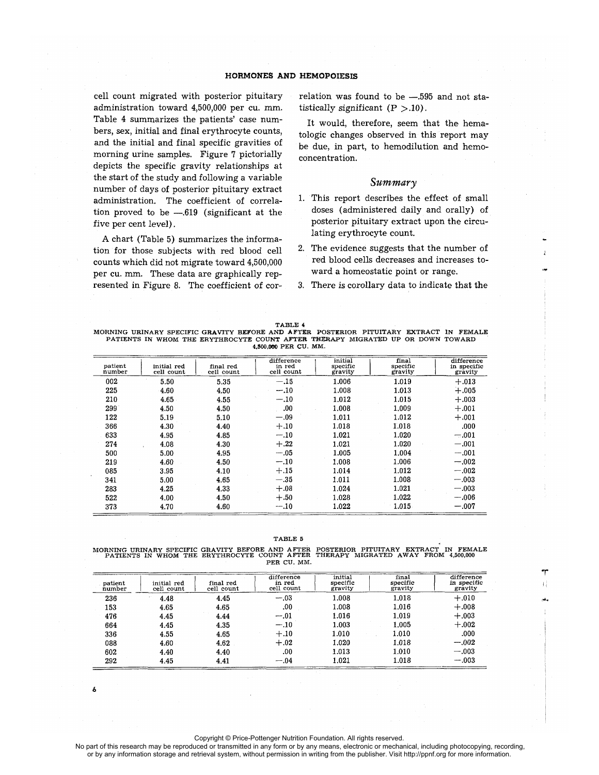cell count migrated with posterior pituitary administration toward 4,500,000 per cu. mm. Table 4 summarizes the patients' case numbers, sex, initial and final erythrocyte counts, and the initial and final specific gravities of morning urine samples. Figure 7 pictorially depicts the specific gravity relationships at the start of the study and following a variable number of days of posterior pituitary extract administration. The coefficient of correlation proved to be  $-.619$  (significant at the five per cent level) .

A chart (Table 5) summarizes the information for those subjects with red blood cell counts which did not migrate toward 4,500,000 per cu. mm. These data are graphically represented in Figure 8. The coefficient of correlation was found to be -.595 and not statistically significant  $(P > .10)$ .

**It would, therefore, seem that** the. **hematologic changes observed in this report may be due, in part, to hemodilution and hemoconcentration.**

#### Summary

- 1. This report describes the effect of small doses (administered daily and orally) of posterior pituitary extract upon the circulating erythrocyte count.
- 2. The evidence suggests that the number of red blood cells decreases and increases toward a homeostatic point or range.
- 3. There is corollary data to indicate that the

TABLE 4 MORNING URINARY SPECIFIC GRAVITY BEFORE AND AFTER POSTERIOR PITUITARY EXTRACT IN FEMALE PATIENTS IN WHOM THE ERYTHROCYTE COUNT AFTER THERAPY MIGRATED UP OR DOWN TOWARD **4,500,0**00 PER CU. MM.

| patient<br>number | initial red<br>cell count | final red<br>cell count | difference<br>in red<br>cell count | initial<br>specific<br>gravity | final<br>specific<br>gravity | difference<br>in specific<br>gravity |
|-------------------|---------------------------|-------------------------|------------------------------------|--------------------------------|------------------------------|--------------------------------------|
| 002               | 5.50                      | 5.35                    | $-.15$                             | 1.006                          | 1.019                        | $+.013$                              |
| 225               | 4.60                      | 4.50                    | $-.10$                             | 1.008                          | 1.013                        | $+.005$                              |
| 210               | 4.65                      | 4.55                    | $-.10$                             | 1.012                          | 1.015                        | $+.003$                              |
| 299               | 4.50                      | 4.50                    | .00.                               | 1.008                          | 1.009                        | $+.001$                              |
| 122               | 5.19                      | 5.10                    | $-.09$                             | 1.011                          | 1.012                        | $+.001$                              |
| 366               | 4.30                      | 4.40                    | $+.10$                             | 1.018                          | 1.018                        | .000                                 |
| 633               | 4.95                      | 4.85                    | $-.10$                             | 1.021                          | 1.020                        | $-.001$                              |
| 274               | 4.08                      | 4.30                    | $+.22$                             | 1.021                          | 1.020                        | $-.001$                              |
| 500               | 5.00                      | 4.95                    | $-.05$                             | 1.005                          | 1.004                        | $-.001$                              |
| 219               | 4.60                      | 4.50                    | $-.10$                             | 1.008                          | 1.006                        | $-.002$                              |
| 085               | 3.95                      | 4.10                    | $+.15$                             | 1.014                          | 1.012                        | $-.002$                              |
| 341               | 5.00                      | 4.65                    | $-.35$                             | 1.011                          | 1.008                        | $-.003$                              |
| 283               | 4.25                      | 4.33                    | $+.08$                             | 1.024                          | 1.021                        | $-.003$                              |
| 522               | 4.00                      | 4.50                    | $+.50$                             | 1.028                          | 1.022                        | $-.006$                              |
| 373               | 4.70                      | 4.60                    | $-.10$                             | 1.022                          | 1.015                        | $-.007$                              |

TABLE 5

MORNING URINARY SPECIFIC GRAVITY BEFORE AND AFTER POSTERIOR PITUITARY EXTRACT IN FEMALE PATIENTS IN WHOM THE ERYTHROCYTE COUNT AFTER THERAPY MIGRATED AWAY **FROM 4,500,000** PER CU. MM.

| patient<br>number | initial red<br>cell count | final red<br>cell count | difference<br>in red<br>cell count | initial<br>specific<br>gravity | final<br>specific<br>gravity | difference<br>in specific<br>gravity |
|-------------------|---------------------------|-------------------------|------------------------------------|--------------------------------|------------------------------|--------------------------------------|
| 236               | 4.48                      | 4.45                    | $-.03$                             | 1.008                          | 1.018                        | $+.010$                              |
| 153               | 4.65                      | 4.65                    | .00.                               | 1.008                          | 1.016                        | $+.008$                              |
| 476               | 4.45                      | 4.44                    | $-.01$                             | 1.016                          | 1.019                        | $+.003$                              |
| 664               | 4.45                      | 4.35                    | $-.10$                             | 1.003                          | 1.005                        | $+.002$                              |
| 336               | 4.55                      | 4.65                    | $+.10$                             | 1.010                          | 1.010                        | .000                                 |
| 088               | 4.60                      | 4.62                    | $+.02$                             | 1.020                          | 1.018                        | $-.002$                              |
| 602               | 4.40                      | 4.40                    | .00                                | 1.013                          | 1.010                        | $-.003$                              |
| 292               | 4.45                      | 4.41                    | $-.04$                             | 1.021                          | 1.018                        | $-.003$                              |

**6**

Copyright © Price-Pottenger Nutrition Foundation. All rights reserved.

 No part of this research may be reproduced or transmitted in any form or by any means, electronic or mechanical, including photocopying, recording, or by any information storage and retrieval system, without permission in writing from the publisher. Visit http://ppnf.org for more information.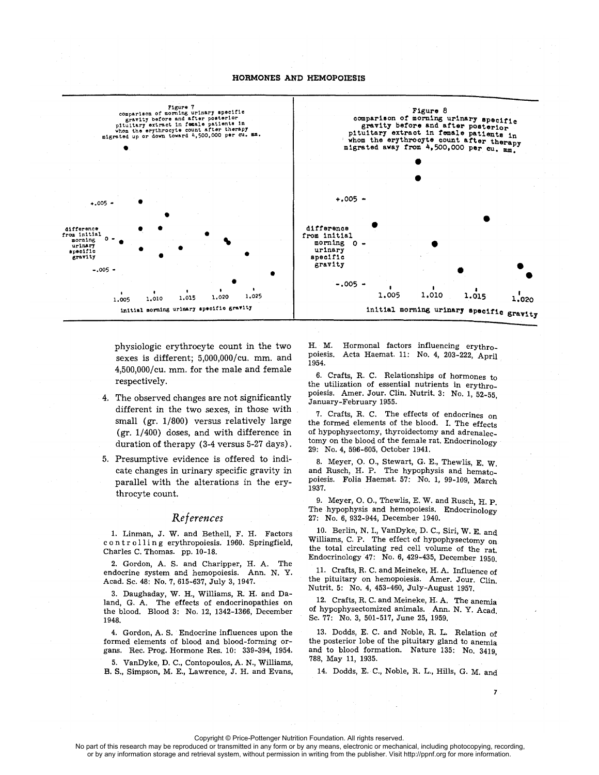

**physiologic** erythrocyte **count** in the two **sexes is different; 5,000,000/cu. mm. and 4,500,000/cu. mm. for the male and female respectively.**

- 4. The observed changes are not significantly different in the two sexes, in those with small (gr. 1/800) versus relatively large (gr. 1/400) doses, and with difference in duration of therapy (3-4 versus 5-27 days) .
- 5. Presumptive. evidence is offered to indicate changes in urinary specific gravity in parallel with the alterations in the erythrocyte count.

### *Re f erences*

1. Linman, J. W. and Bethell, F. H. Factors c o n t r o 11 i n g erythropoiesis. 1960. Springfield, Charles C. Thomas. pp. 10-18.

2. Gordon, A. S. and Charipper, H. A. The endocrine system and hemopoiesis. Ann. N. Y. Acad. Sc. 48: No. 7, 615-637, July 3, 1947.

3. Daughaday, W. H., Williams, R. H. and Daland, G. A. The effects of endocrinopathies on the blood. Blood 3: No. 12, 1342-1366, December 1948.

4 . Gordon, A. S. Endocrine influences upon the formed elements of blood and blood-forming organs. Rec. Prog. Hormone Res. 10: 339-394, 1954.

<sup>5</sup> . VanDyke, D. C., Contopoulos, A. N., Williams, B. S., Simpson, M. E., Lawrence, J. H. and Evans,

H. M. Hormonal factors influencing erythro-<br>poiesis. Acta Haemat. 11: No. 4, 203-222. April Acta Haemat. 11: No. 4, 203-222, April 1954.

6. Crafts, R. C. Relationships of hormones to the utilization of essential nutrients in erythropoiesis. Amer. Jour. Clin. Nutrit. 3: No. 1, 52-55, January-February 1955 .

7. Crafts, R. C. The effects of endocrines on the formed elements of the blood. I. The effects of hypophysectomy, thyroidectomy and adrenalectomy on the blood of the female rat. Endocrinology 29: No. 4, 596-605, October 1941.

8. Meyer, O. **0.,** Stewart, G. E., Thewlis, E. W. and Rusch, H. P. The hypophysis and hematopoiesis. Folia Haemat. 57: No. 1, 99-109, March 1937.

9. Meyer, O. **0.,** Thewlis, E. W. and Rusch, H. P. The hypophysis and hemopoiesis. Endocrinology 27: No. 6, 932-944, December 1940.

10. Berlin, N. I., VanDyke, D. C., Siri, W. **E.** and Williams, C. P. The effect of hypophysectomy on the total circulating red cell volume of the rat. Endocrinology 47: No. 6, 429-435, December 1950.

11. Crafts, R. C. and Meineke, H. A. Influence of the pituitary on hemopoiesis. Amer. Jour. Clin. Nutrit. 5: No. 4, 453-460, July-August 1957.

12. Crafts, R. C. and Meineke, H. A. The anemia of hypophysectomized animals. Ann. N. Y. Acad. Sc. 77: No. 3, 501-517, June 25, 1959.

13. Dodds, E. C. and Noble, R. L. Relation of the posterior lobe of the pituitary gland to anemia and to blood formation. Nature 135: No. 3419, 788, May 11, 1935 .

14. Dodds, E. C., Noble, R. L., Hills, G. M. and

7

Copyright © Price-Pottenger Nutrition Foundation. All rights reserved.

No part of this research may be reproduced or transmitted in any form or by any means, electronic or mechanical, including photocopying, recording, or by any information storage and retrieval system, without permission in writing from the publisher. Visit http://ppnf.org for more information.